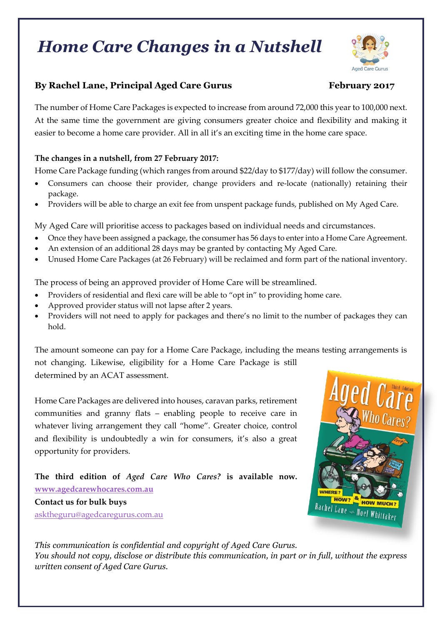# *Home Care Changes in a Nutshell*



## **By Rachel Lane, Principal Aged Care Gurus February 2017**

The number of Home Care Packages is expected to increase from around 72,000 this year to 100,000 next. At the same time the government are giving consumers greater choice and flexibility and making it easier to become a home care provider. All in all it's an exciting time in the home care space.

### **The changes in a nutshell, from 27 February 2017:**

Home Care Package funding (which ranges from around \$22/day to \$177/day) will follow the consumer.

- Consumers can choose their provider, change providers and re-locate (nationally) retaining their package.
- Providers will be able to charge an exit fee from unspent package funds, published on My Aged Care.

My Aged Care will prioritise access to packages based on individual needs and circumstances.

- Once they have been assigned a package, the consumer has 56 days to enter into a Home Care Agreement.
- An extension of an additional 28 days may be granted by contacting My Aged Care.
- Unused Home Care Packages (at 26 February) will be reclaimed and form part of the national inventory.

The process of being an approved provider of Home Care will be streamlined.

- Providers of residential and flexi care will be able to "opt in" to providing home care.
- Approved provider status will not lapse after 2 years.
- Providers will not need to apply for packages and there's no limit to the number of packages they can hold.

The amount someone can pay for a Home Care Package, including the means testing arrangements is not changing. Likewise, eligibility for a Home Care Package is still

determined by an ACAT assessment.

Home Care Packages are delivered into houses, caravan parks, retirement communities and granny flats – enabling people to receive care in whatever living arrangement they call "home". Greater choice, control and flexibility is undoubtedly a win for consumers, it's also a great opportunity for providers.

**The third edition of** *Aged Care Who Cares?* **is available now. [www.agedcarewhocares.com.au](http://www.agedcarewhocares.com.au/) Contact us for bulk buys** asktheguru@agedcaregurus.com.au



*This communication is confidential and copyright of Aged Care Gurus. You should not copy, disclose or distribute this communication, in part or in full, without the express written consent of Aged Care Gurus.*